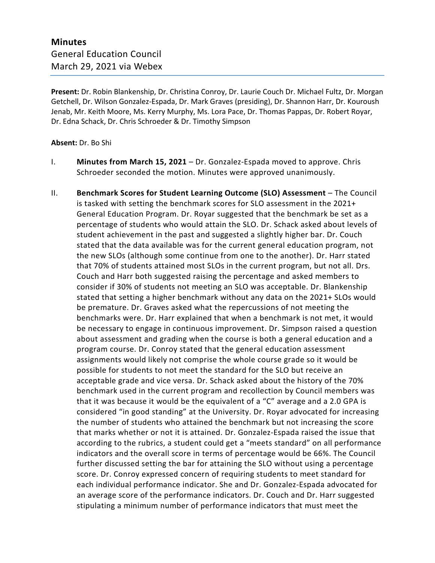**Present:** Dr. Robin Blankenship, Dr. Christina Conroy, Dr. Laurie Couch Dr. Michael Fultz, Dr. Morgan Getchell, Dr. Wilson Gonzalez-Espada, Dr. Mark Graves (presiding), Dr. Shannon Harr, Dr. Kouroush Jenab, Mr. Keith Moore, Ms. Kerry Murphy, Ms. Lora Pace, Dr. Thomas Pappas, Dr. Robert Royar, Dr. Edna Schack, Dr. Chris Schroeder & Dr. Timothy Simpson

## **Absent:** Dr. Bo Shi

- I. **Minutes from March 15, 2021** Dr. Gonzalez-Espada moved to approve. Chris Schroeder seconded the motion. Minutes were approved unanimously.
- II. **Benchmark Scores for Student Learning Outcome (SLO) Assessment** The Council is tasked with setting the benchmark scores for SLO assessment in the 2021+ General Education Program. Dr. Royar suggested that the benchmark be set as a percentage of students who would attain the SLO. Dr. Schack asked about levels of student achievement in the past and suggested a slightly higher bar. Dr. Couch stated that the data available was for the current general education program, not the new SLOs (although some continue from one to the another). Dr. Harr stated that 70% of students attained most SLOs in the current program, but not all. Drs. Couch and Harr both suggested raising the percentage and asked members to consider if 30% of students not meeting an SLO was acceptable. Dr. Blankenship stated that setting a higher benchmark without any data on the 2021+ SLOs would be premature. Dr. Graves asked what the repercussions of not meeting the benchmarks were. Dr. Harr explained that when a benchmark is not met, it would be necessary to engage in continuous improvement. Dr. Simpson raised a question about assessment and grading when the course is both a general education and a program course. Dr. Conroy stated that the general education assessment assignments would likely not comprise the whole course grade so it would be possible for students to not meet the standard for the SLO but receive an acceptable grade and vice versa. Dr. Schack asked about the history of the 70% benchmark used in the current program and recollection by Council members was that it was because it would be the equivalent of a "C" average and a 2.0 GPA is considered "in good standing" at the University. Dr. Royar advocated for increasing the number of students who attained the benchmark but not increasing the score that marks whether or not it is attained. Dr. Gonzalez-Espada raised the issue that according to the rubrics, a student could get a "meets standard" on all performance indicators and the overall score in terms of percentage would be 66%. The Council further discussed setting the bar for attaining the SLO without using a percentage score. Dr. Conroy expressed concern of requiring students to meet standard for each individual performance indicator. She and Dr. Gonzalez-Espada advocated for an average score of the performance indicators. Dr. Couch and Dr. Harr suggested stipulating a minimum number of performance indicators that must meet the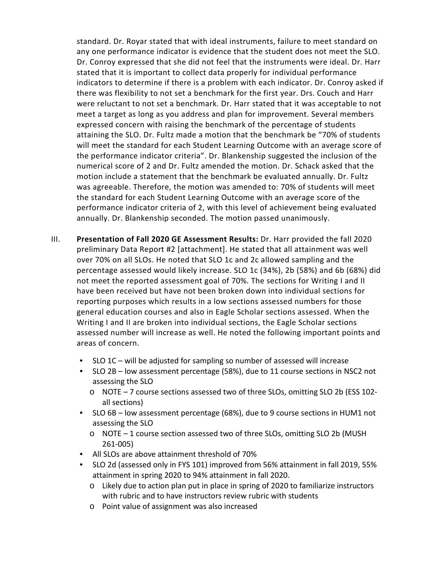standard. Dr. Royar stated that with ideal instruments, failure to meet standard on any one performance indicator is evidence that the student does not meet the SLO. Dr. Conroy expressed that she did not feel that the instruments were ideal. Dr. Harr stated that it is important to collect data properly for individual performance indicators to determine if there is a problem with each indicator. Dr. Conroy asked if there was flexibility to not set a benchmark for the first year. Drs. Couch and Harr were reluctant to not set a benchmark. Dr. Harr stated that it was acceptable to not meet a target as long as you address and plan for improvement. Several members expressed concern with raising the benchmark of the percentage of students attaining the SLO. Dr. Fultz made a motion that the benchmark be "70% of students will meet the standard for each Student Learning Outcome with an average score of the performance indicator criteria". Dr. Blankenship suggested the inclusion of the numerical score of 2 and Dr. Fultz amended the motion. Dr. Schack asked that the motion include a statement that the benchmark be evaluated annually. Dr. Fultz was agreeable. Therefore, the motion was amended to: 70% of students will meet the standard for each Student Learning Outcome with an average score of the performance indicator criteria of 2, with this level of achievement being evaluated annually. Dr. Blankenship seconded. The motion passed unanimously.

- III. **Presentation of Fall 2020 GE Assessment Results:** Dr. Harr provided the fall 2020 preliminary Data Report #2 [attachment]. He stated that all attainment was well over 70% on all SLOs. He noted that SLO 1c and 2c allowed sampling and the percentage assessed would likely increase. SLO 1c (34%), 2b (58%) and 6b (68%) did not meet the reported assessment goal of 70%. The sections for Writing I and II have been received but have not been broken down into individual sections for reporting purposes which results in a low sections assessed numbers for those general education courses and also in Eagle Scholar sections assessed. When the Writing I and II are broken into individual sections, the Eagle Scholar sections assessed number will increase as well. He noted the following important points and areas of concern.
	- SLO 1C will be adjusted for sampling so number of assessed will increase
	- SLO 2B low assessment percentage (58%), due to 11 course sections in NSC2 not assessing the SLO
		- o NOTE 7 course sections assessed two of three SLOs, omitting SLO 2b (ESS 102 all sections)
	- SLO 6B low assessment percentage (68%), due to 9 course sections in HUM1 not assessing the SLO
		- o NOTE 1 course section assessed two of three SLOs, omitting SLO 2b (MUSH 261-005)
	- All SLOs are above attainment threshold of 70%
	- SLO 2d (assessed only in FYS 101) improved from 56% attainment in fall 2019, 55% attainment in spring 2020 to 94% attainment in fall 2020.
		- o Likely due to action plan put in place in spring of 2020 to familiarize instructors with rubric and to have instructors review rubric with students
		- o Point value of assignment was also increased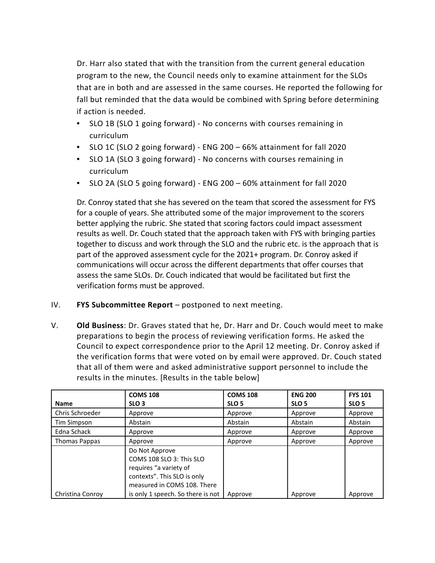Dr. Harr also stated that with the transition from the current general education program to the new, the Council needs only to examine attainment for the SLOs that are in both and are assessed in the same courses. He reported the following for fall but reminded that the data would be combined with Spring before determining if action is needed.

- SLO 1B (SLO 1 going forward) No concerns with courses remaining in curriculum
- SLO 1C (SLO 2 going forward) ENG 200 66% attainment for fall 2020
- SLO 1A (SLO 3 going forward) No concerns with courses remaining in curriculum
- SLO 2A (SLO 5 going forward) ENG 200 60% attainment for fall 2020

Dr. Conroy stated that she has severed on the team that scored the assessment for FYS for a couple of years. She attributed some of the major improvement to the scorers better applying the rubric. She stated that scoring factors could impact assessment results as well. Dr. Couch stated that the approach taken with FYS with bringing parties together to discuss and work through the SLO and the rubric etc. is the approach that is part of the approved assessment cycle for the 2021+ program. Dr. Conroy asked if communications will occur across the different departments that offer courses that assess the same SLOs. Dr. Couch indicated that would be facilitated but first the verification forms must be approved.

- IV. **FYS Subcommittee Report** postponed to next meeting.
- V. **Old Business**: Dr. Graves stated that he, Dr. Harr and Dr. Couch would meet to make preparations to begin the process of reviewing verification forms. He asked the Council to expect correspondence prior to the April 12 meeting. Dr. Conroy asked if the verification forms that were voted on by email were approved. Dr. Couch stated that all of them were and asked administrative support personnel to include the results in the minutes. [Results in the table below]

|                      | <b>COMS 108</b>                                                                                                                    | <b>COMS 108</b>  | <b>ENG 200</b>   | <b>FYS 101</b>   |
|----------------------|------------------------------------------------------------------------------------------------------------------------------------|------------------|------------------|------------------|
| <b>Name</b>          | SLO <sub>3</sub>                                                                                                                   | SLO <sub>5</sub> | SLO <sub>5</sub> | SLO <sub>5</sub> |
| Chris Schroeder      | Approve                                                                                                                            | Approve          | Approve          | Approve          |
| Tim Simpson          | Abstain                                                                                                                            | Abstain          | Abstain          | Abstain          |
| Edna Schack          | Approve                                                                                                                            | Approve          | Approve          | Approve          |
| <b>Thomas Pappas</b> | Approve                                                                                                                            | Approve          | Approve          | Approve          |
|                      | Do Not Approve<br>COMS 108 SLO 3: This SLO<br>requires "a variety of<br>contexts". This SLO is only<br>measured in COMS 108. There |                  |                  |                  |
| Christina Conroy     | is only 1 speech. So there is not                                                                                                  | Approve          | Approve          | Approve          |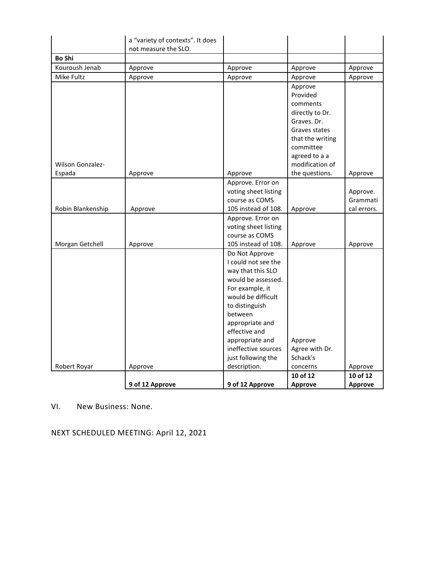|                   | a "variety of contexts". It does |                                  |                              |                |
|-------------------|----------------------------------|----------------------------------|------------------------------|----------------|
|                   | not measure the SLO.             |                                  |                              |                |
| <b>Bo Shi</b>     |                                  |                                  |                              |                |
| Kouroush Jenab    | Approve                          | Approve                          | Approve                      | Approve        |
| Mike Fultz        | Approve                          | Approve                          | Approve                      | Approve        |
|                   |                                  |                                  | Approve                      |                |
|                   |                                  |                                  | Provided                     |                |
|                   |                                  |                                  | comments                     |                |
|                   |                                  |                                  | directly to Dr.              |                |
|                   |                                  |                                  | Graves. Dr.<br>Graves states |                |
|                   |                                  |                                  | that the writing             |                |
|                   |                                  |                                  | committee                    |                |
|                   |                                  |                                  | agreed to a a                |                |
| Wilson Gonzalez-  |                                  |                                  | modification of              |                |
| Espada            | Approve                          | Approve                          | the questions.               | Approve        |
|                   |                                  | Approve. Error on                |                              |                |
|                   |                                  | voting sheet listing             |                              | Approve.       |
|                   |                                  | course as COMS                   |                              | Grammati       |
| Robin Blankenship | Approve                          | 105 instead of 108.              | Approve                      | cal errors.    |
|                   |                                  | Approve. Error on                |                              |                |
|                   |                                  | voting sheet listing             |                              |                |
|                   |                                  | course as COMS                   |                              |                |
| Morgan Getchell   | Approve                          | 105 instead of 108.              | Approve                      | Approve        |
|                   |                                  | Do Not Approve                   |                              |                |
|                   |                                  | I could not see the              |                              |                |
|                   |                                  | way that this SLO                |                              |                |
|                   |                                  | would be assessed.               |                              |                |
|                   |                                  | For example, it                  |                              |                |
|                   |                                  | would be difficult               |                              |                |
|                   |                                  | to distinguish                   |                              |                |
|                   |                                  | between                          |                              |                |
|                   |                                  | appropriate and<br>effective and |                              |                |
|                   |                                  | appropriate and                  | Approve                      |                |
|                   |                                  | ineffective sources              | Agree with Dr.               |                |
|                   |                                  | just following the               | Schack's                     |                |
| Robert Royar      | Approve                          | description.                     | concerns                     | Approve        |
|                   |                                  |                                  | 10 of 12                     | 10 of 12       |
|                   | 9 of 12 Approve                  | 9 of 12 Approve                  | <b>Approve</b>               | <b>Approve</b> |

VI. New Business: None.

NEXT SCHEDULED MEETING: April 12, 2021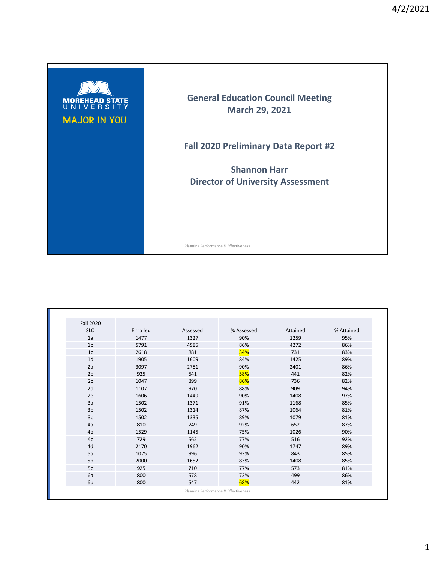

| <b>Fall 2020</b> |          |          |            |          |            |
|------------------|----------|----------|------------|----------|------------|
| <b>SLO</b>       | Enrolled | Assessed | % Assessed | Attained | % Attained |
| 1a               | 1477     | 1327     | 90%        | 1259     | 95%        |
| 1 <sub>b</sub>   | 5791     | 4985     | 86%        | 4272     | 86%        |
| 1 <sub>c</sub>   | 2618     | 881      | 34%        | 731      | 83%        |
| 1 <sub>d</sub>   | 1905     | 1609     | 84%        | 1425     | 89%        |
| 2a               | 3097     | 2781     | 90%        | 2401     | 86%        |
| 2 <sub>b</sub>   | 925      | 541      | 58%        | 441      | 82%        |
| 2c               | 1047     | 899      | 86%        | 736      | 82%        |
| 2d               | 1107     | 970      | 88%        | 909      | 94%        |
| 2e               | 1606     | 1449     | 90%        | 1408     | 97%        |
| 3a               | 1502     | 1371     | 91%        | 1168     | 85%        |
| 3b               | 1502     | 1314     | 87%        | 1064     | 81%        |
| 3 <sub>c</sub>   | 1502     | 1335     | 89%        | 1079     | 81%        |
| 4a               | 810      | 749      | 92%        | 652      | 87%        |
| 4 <sub>b</sub>   | 1529     | 1145     | 75%        | 1026     | 90%        |
| 4c               | 729      | 562      | 77%        | 516      | 92%        |
| 4d               | 2170     | 1962     | 90%        | 1747     | 89%        |
| 5a               | 1075     | 996      | 93%        | 843      | 85%        |
| 5b               | 2000     | 1652     | 83%        | 1408     | 85%        |
| 5c               | 925      | 710      | 77%        | 573      | 81%        |
| 6a               | 800      | 578      | 72%        | 499      | 86%        |
| 6b               | 800      | 547      | 68%        | 442      | 81%        |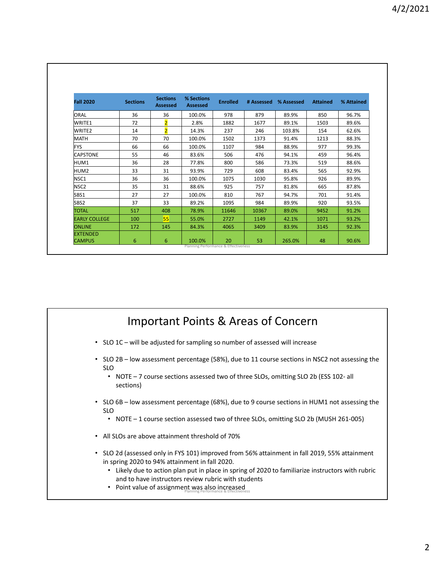| <b>Fall 2020</b>                 | <b>Sections</b> | <b>Sections</b><br><b>Assessed</b> | % Sections<br><b>Assessed</b> | <b>Enrolled</b> | # Assessed | % Assessed | <b>Attained</b> | % Attained |
|----------------------------------|-----------------|------------------------------------|-------------------------------|-----------------|------------|------------|-----------------|------------|
| <b>ORAL</b>                      | 36              | 36                                 | 100.0%                        | 978             | 879        | 89.9%      | 850             | 96.7%      |
| WRITE1                           | 72              | $\overline{2}$                     | 2.8%                          | 1882            | 1677       | 89.1%      | 1503            | 89.6%      |
| WRITE <sub>2</sub>               | 14              | $\overline{2}$                     | 14.3%                         | 237             | 246        | 103.8%     | 154             | 62.6%      |
| MATH                             | 70              | 70                                 | 100.0%                        | 1502            | 1373       | 91.4%      | 1213            | 88.3%      |
| <b>FYS</b>                       | 66              | 66                                 | 100.0%                        | 1107            | 984        | 88.9%      | 977             | 99.3%      |
| <b>CAPSTONE</b>                  | 55              | 46                                 | 83.6%                         | 506             | 476        | 94.1%      | 459             | 96.4%      |
| HUM1                             | 36              | 28                                 | 77.8%                         | 800             | 586        | 73.3%      | 519             | 88.6%      |
| HUM <sub>2</sub>                 | 33              | 31                                 | 93.9%                         | 729             | 608        | 83.4%      | 565             | 92.9%      |
| NSC <sub>1</sub>                 | 36              | 36                                 | 100.0%                        | 1075            | 1030       | 95.8%      | 926             | 89.9%      |
| NSC <sub>2</sub>                 | 35              | 31                                 | 88.6%                         | 925             | 757        | 81.8%      | 665             | 87.8%      |
| SBS1                             | 27              | 27                                 | 100.0%                        | 810             | 767        | 94.7%      | 701             | 91.4%      |
| SBS <sub>2</sub>                 | 37              | 33                                 | 89.2%                         | 1095            | 984        | 89.9%      | 920             | 93.5%      |
| <b>TOTAL</b>                     | 517             | 408                                | 78.9%                         | 11646           | 10367      | 89.0%      | 9452            | 91.2%      |
| <b>EARLY COLLEGE</b>             | 100             | 55                                 | 55.0%                         | 2727            | 1149       | 42.1%      | 1071            | 93.2%      |
| <b>ONLINE</b>                    | 172             | 145                                | 84.3%                         | 4065            | 3409       | 83.9%      | 3145            | 92.3%      |
| <b>EXTENDED</b><br><b>CAMPUS</b> | 6               | 6                                  | 100.0%                        | 20              | 53         | 265.0%     | 48              | 90.6%      |

## Important Points & Areas of Concern

- SLO 1C will be adjusted for sampling so number of assessed will increase
- SLO 2B low assessment percentage (58%), due to 11 course sections in NSC2 not assessing the SLO
	- NOTE 7 course sections assessed two of three SLOs, omitting SLO 2b (ESS 102- all sections)
- SLO 6B low assessment percentage (68%), due to 9 course sections in HUM1 not assessing the SLO
	- NOTE 1 course section assessed two of three SLOs, omitting SLO 2b (MUSH 261-005)
- All SLOs are above attainment threshold of 70%
- SLO 2d (assessed only in FYS 101) improved from 56% attainment in fall 2019, 55% attainment in spring 2020 to 94% attainment in fall 2020.
	- Likely due to action plan put in place in spring of 2020 to familiarize instructors with rubric and to have instructors review rubric with students
	- Point value of assignment was also increased